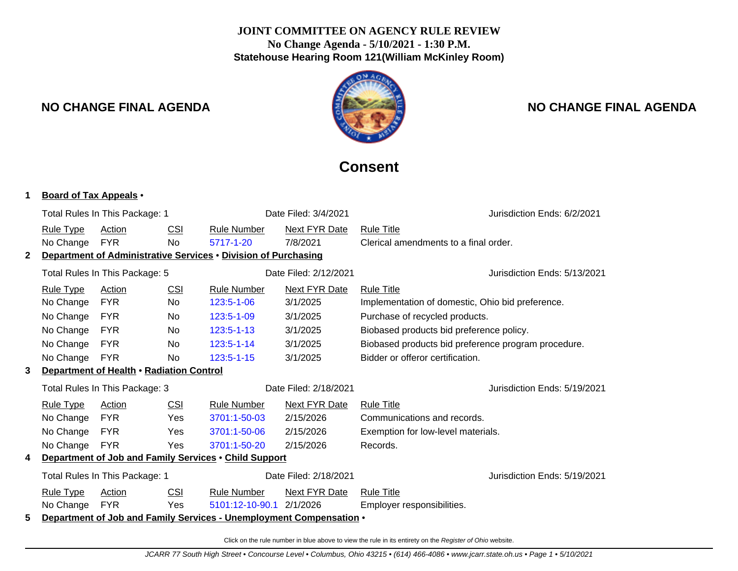## **JOINT COMMITTEE ON AGENCY RULE REVIEW No Change Agenda - 5/10/2021 - 1:30 P.M. Statehouse Hearing Room 121(William McKinley Room)**



# **NO CHANGE FINAL AGENDA NO CHANGE FINAL AGENDA**

# **Consent**

#### **1 Board of Tax Appeals** •

|                                                            | Total Rules In This Package: 1                                      |            |            |                                                                | Date Filed: 3/4/2021  |                                                     | Jurisdiction Ends: 6/2/2021  |  |
|------------------------------------------------------------|---------------------------------------------------------------------|------------|------------|----------------------------------------------------------------|-----------------------|-----------------------------------------------------|------------------------------|--|
|                                                            | <b>Rule Type</b>                                                    | Action     | CSI        | <b>Rule Number</b>                                             | Next FYR Date         | <b>Rule Title</b>                                   |                              |  |
|                                                            | No Change                                                           | <b>FYR</b> | <b>No</b>  | 5717-1-20                                                      | 7/8/2021              | Clerical amendments to a final order.               |                              |  |
| 2                                                          |                                                                     |            |            | Department of Administrative Services . Division of Purchasing |                       |                                                     |                              |  |
|                                                            | Total Rules In This Package: 5                                      |            |            | Date Filed: 2/12/2021                                          |                       |                                                     | Jurisdiction Ends: 5/13/2021 |  |
|                                                            | <b>Rule Type</b>                                                    | Action     | CSI        | <b>Next FYR Date</b><br><b>Rule Number</b>                     |                       | <b>Rule Title</b>                                   |                              |  |
|                                                            | No Change                                                           | <b>FYR</b> | <b>No</b>  | 123:5-1-06                                                     | 3/1/2025              | Implementation of domestic, Ohio bid preference.    |                              |  |
|                                                            | No Change                                                           | <b>FYR</b> | <b>No</b>  | 123:5-1-09                                                     | 3/1/2025              | Purchase of recycled products.                      |                              |  |
|                                                            | No Change                                                           | <b>FYR</b> | <b>No</b>  | $123:5 - 1 - 13$                                               | 3/1/2025              | Biobased products bid preference policy.            |                              |  |
|                                                            | No Change                                                           | <b>FYR</b> | <b>No</b>  | 123:5-1-14                                                     | 3/1/2025              | Biobased products bid preference program procedure. |                              |  |
|                                                            | No Change                                                           | <b>FYR</b> | No         | 123:5-1-15                                                     | 3/1/2025              | Bidder or offeror certification.                    |                              |  |
| Department of Health . Radiation Control<br>3              |                                                                     |            |            |                                                                |                       |                                                     |                              |  |
|                                                            | Total Rules In This Package: 3                                      |            |            |                                                                | Date Filed: 2/18/2021 |                                                     | Jurisdiction Ends: 5/19/2021 |  |
|                                                            | <b>Rule Type</b>                                                    | Action     | <b>CSI</b> | <b>Rule Number</b>                                             | Next FYR Date         | <b>Rule Title</b>                                   |                              |  |
|                                                            | No Change                                                           | <b>FYR</b> | Yes        | 3701:1-50-03                                                   | 2/15/2026             | Communications and records.                         |                              |  |
|                                                            | No Change                                                           | <b>FYR</b> | Yes        | 3701:1-50-06                                                   | 2/15/2026             | Exemption for low-level materials.                  |                              |  |
|                                                            | No Change                                                           | <b>FYR</b> | Yes        | 3701:1-50-20                                                   | 2/15/2026             | Records.                                            |                              |  |
| Department of Job and Family Services . Child Support<br>4 |                                                                     |            |            |                                                                |                       |                                                     |                              |  |
|                                                            | Total Rules In This Package: 1                                      |            |            |                                                                | Date Filed: 2/18/2021 |                                                     | Jurisdiction Ends: 5/19/2021 |  |
|                                                            | <b>Rule Type</b>                                                    | Action     | <b>CSI</b> | <b>Rule Number</b>                                             | <b>Next FYR Date</b>  | <b>Rule Title</b>                                   |                              |  |
|                                                            | No Change                                                           | <b>FYR</b> | Yes        | 5101:12-10-90.1                                                | 2/1/2026              | Employer responsibilities.                          |                              |  |
| 5                                                          | Department of Job and Family Services - Unemployment Compensation . |            |            |                                                                |                       |                                                     |                              |  |

Click on the rule number in blue above to view the rule in its entirety on the Register of Ohio website.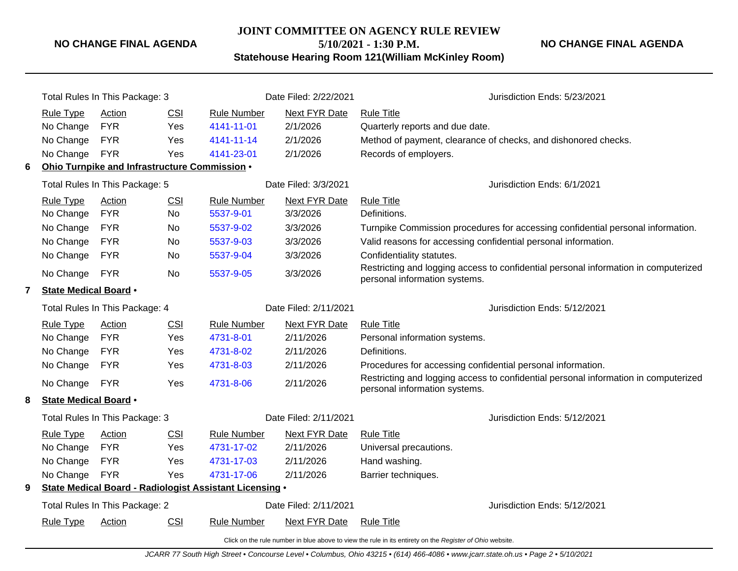#### **NO CHANGE FINAL AGENDA**

**JOINT COMMITTEE ON AGENCY RULE REVIEW**

**5/10/2021 - 1:30 P.M.**

**NO CHANGE FINAL AGENDA**

**Statehouse Hearing Room 121(William McKinley Room)**

|   | Total Rules In This Package: 3                                                                           |                                               |            | Date Filed: 2/22/2021                                   | Jurisdiction Ends: 5/23/2021 |                                                                                                                      |  |  |  |
|---|----------------------------------------------------------------------------------------------------------|-----------------------------------------------|------------|---------------------------------------------------------|------------------------------|----------------------------------------------------------------------------------------------------------------------|--|--|--|
|   | <b>Rule Type</b>                                                                                         | Action                                        | <b>CSI</b> | <b>Rule Number</b>                                      | <b>Next FYR Date</b>         | <b>Rule Title</b>                                                                                                    |  |  |  |
|   | No Change                                                                                                | <b>FYR</b>                                    | Yes        | 4141-11-01                                              | 2/1/2026                     | Quarterly reports and due date.                                                                                      |  |  |  |
|   | No Change                                                                                                | <b>FYR</b>                                    | Yes        | 4141-11-14                                              | 2/1/2026                     | Method of payment, clearance of checks, and dishonored checks.                                                       |  |  |  |
|   | No Change                                                                                                | <b>FYR</b>                                    | Yes        | 4141-23-01                                              | 2/1/2026                     | Records of employers.                                                                                                |  |  |  |
| 6 |                                                                                                          | Ohio Turnpike and Infrastructure Commission . |            |                                                         |                              |                                                                                                                      |  |  |  |
|   | Total Rules In This Package: 5                                                                           |                                               |            | Date Filed: 3/3/2021                                    | Jurisdiction Ends: 6/1/2021  |                                                                                                                      |  |  |  |
|   | <b>Rule Type</b>                                                                                         | <b>CSI</b><br>Action                          |            | <b>Rule Number</b>                                      | <b>Next FYR Date</b>         | <b>Rule Title</b>                                                                                                    |  |  |  |
|   | No Change                                                                                                | <b>FYR</b>                                    | No         | 5537-9-01                                               | 3/3/2026                     | Definitions.                                                                                                         |  |  |  |
|   | No Change                                                                                                | <b>FYR</b>                                    | No         | 5537-9-02                                               | 3/3/2026                     | Turnpike Commission procedures for accessing confidential personal information.                                      |  |  |  |
|   | No Change                                                                                                | <b>FYR</b>                                    | No         | 5537-9-03                                               | 3/3/2026                     | Valid reasons for accessing confidential personal information.                                                       |  |  |  |
|   | No Change                                                                                                | <b>FYR</b>                                    | No         | 5537-9-04                                               | 3/3/2026                     | Confidentiality statutes.                                                                                            |  |  |  |
|   | No Change                                                                                                | <b>FYR</b>                                    | No         | 5537-9-05                                               | 3/3/2026                     | Restricting and logging access to confidential personal information in computerized<br>personal information systems. |  |  |  |
| 7 | <b>State Medical Board •</b>                                                                             |                                               |            |                                                         |                              |                                                                                                                      |  |  |  |
|   | Total Rules In This Package: 4                                                                           |                                               |            | Date Filed: 2/11/2021                                   | Jurisdiction Ends: 5/12/2021 |                                                                                                                      |  |  |  |
|   | <b>Rule Type</b>                                                                                         | <b>Action</b>                                 | CSI        | <b>Rule Number</b>                                      | <b>Next FYR Date</b>         | <b>Rule Title</b>                                                                                                    |  |  |  |
|   | No Change                                                                                                | <b>FYR</b>                                    | Yes        | 4731-8-01                                               | 2/11/2026                    | Personal information systems.                                                                                        |  |  |  |
|   | No Change                                                                                                | <b>FYR</b>                                    | Yes        | 4731-8-02                                               | 2/11/2026                    | Definitions.                                                                                                         |  |  |  |
|   | No Change                                                                                                | <b>FYR</b>                                    | Yes        | 4731-8-03                                               | 2/11/2026                    | Procedures for accessing confidential personal information.                                                          |  |  |  |
|   | No Change                                                                                                | <b>FYR</b>                                    | Yes        | 4731-8-06                                               | 2/11/2026                    | Restricting and logging access to confidential personal information in computerized<br>personal information systems. |  |  |  |
| 8 | State Medical Board •                                                                                    |                                               |            |                                                         |                              |                                                                                                                      |  |  |  |
|   | Total Rules In This Package: 3                                                                           |                                               |            | Date Filed: 2/11/2021                                   | Jurisdiction Ends: 5/12/2021 |                                                                                                                      |  |  |  |
|   | Rule Type                                                                                                | Action                                        | <b>CSI</b> | <b>Rule Number</b>                                      | Next FYR Date                | <b>Rule Title</b>                                                                                                    |  |  |  |
|   | No Change                                                                                                | <b>FYR</b>                                    | Yes        | 4731-17-02                                              | 2/11/2026                    | Universal precautions.                                                                                               |  |  |  |
|   | No Change                                                                                                | <b>FYR</b>                                    | Yes        | 4731-17-03                                              | 2/11/2026                    | Hand washing.                                                                                                        |  |  |  |
|   | No Change                                                                                                | <b>FYR</b>                                    | Yes        | 4731-17-06                                              | 2/11/2026                    | Barrier techniques.                                                                                                  |  |  |  |
| 9 |                                                                                                          |                                               |            | State Medical Board - Radiologist Assistant Licensing . |                              |                                                                                                                      |  |  |  |
|   | Total Rules In This Package: 2                                                                           |                                               |            |                                                         | Date Filed: 2/11/2021        | Jurisdiction Ends: 5/12/2021                                                                                         |  |  |  |
|   | <b>Rule Type</b>                                                                                         | <b>Action</b>                                 | <b>CSI</b> | <b>Rule Number</b>                                      | Next FYR Date                | <b>Rule Title</b>                                                                                                    |  |  |  |
|   | Click on the rule number in blue above to view the rule in its entirety on the Register of Ohio website. |                                               |            |                                                         |                              |                                                                                                                      |  |  |  |

JCARR 77 South High Street • Concourse Level • Columbus, Ohio 43215 • (614) 466-4086 • www.jcarr.state.oh.us • Page 2 • 5/10/2021